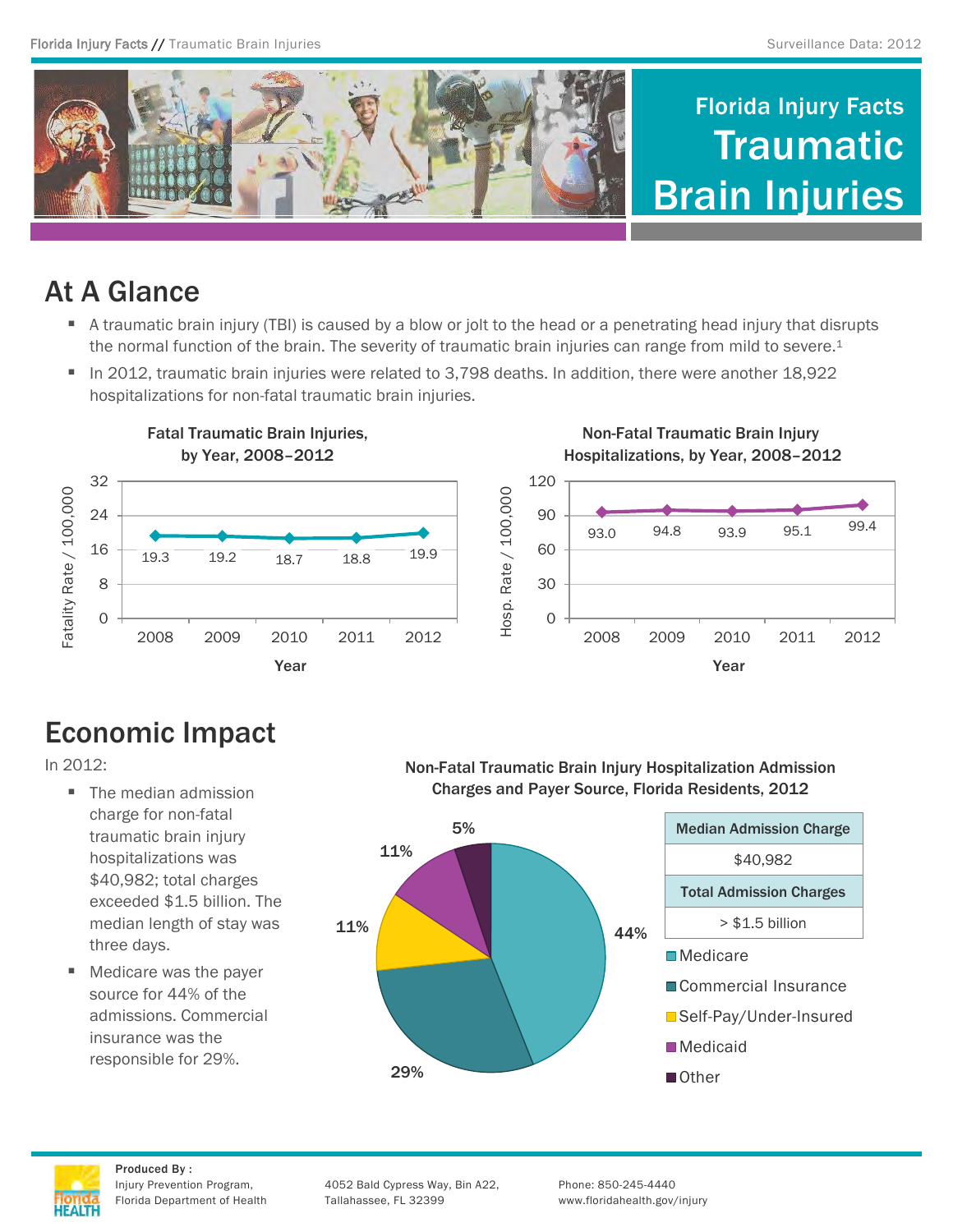

# At A Glance

- A traumatic brain injury (TBI) is caused by a blow or jolt to the head or a penetrating head injury that disrupts the normal function of the brain. The severity of traumatic brain injuries can range from mild to severe.<sup>1</sup>
- In 2012, traumatic brain injuries were related to 3,798 deaths. In addition, there were another 18,922 hospitalizations for non-fatal traumatic brain injuries.



# Economic Impact

In 2012:

- The median admission charge for non-fatal traumatic brain injury hospitalizations was \$40,982; total charges exceeded \$1.5 billion. The median length of stay was three days.
- Medicare was the payer source for 44% of the admissions. Commercial insurance was the responsible for 29%.

Non-Fatal Traumatic Brain Injury Hospitalization Admission Charges and Payer Source, Florida Residents, 2012





Produced By :

Injury Prevention Program, 4052 Bald Cypress Way, Bin A22, Phone: 850-245-4440 Florida Department of Health Tallahassee, FL 32399 www.floridahealth.gov/injury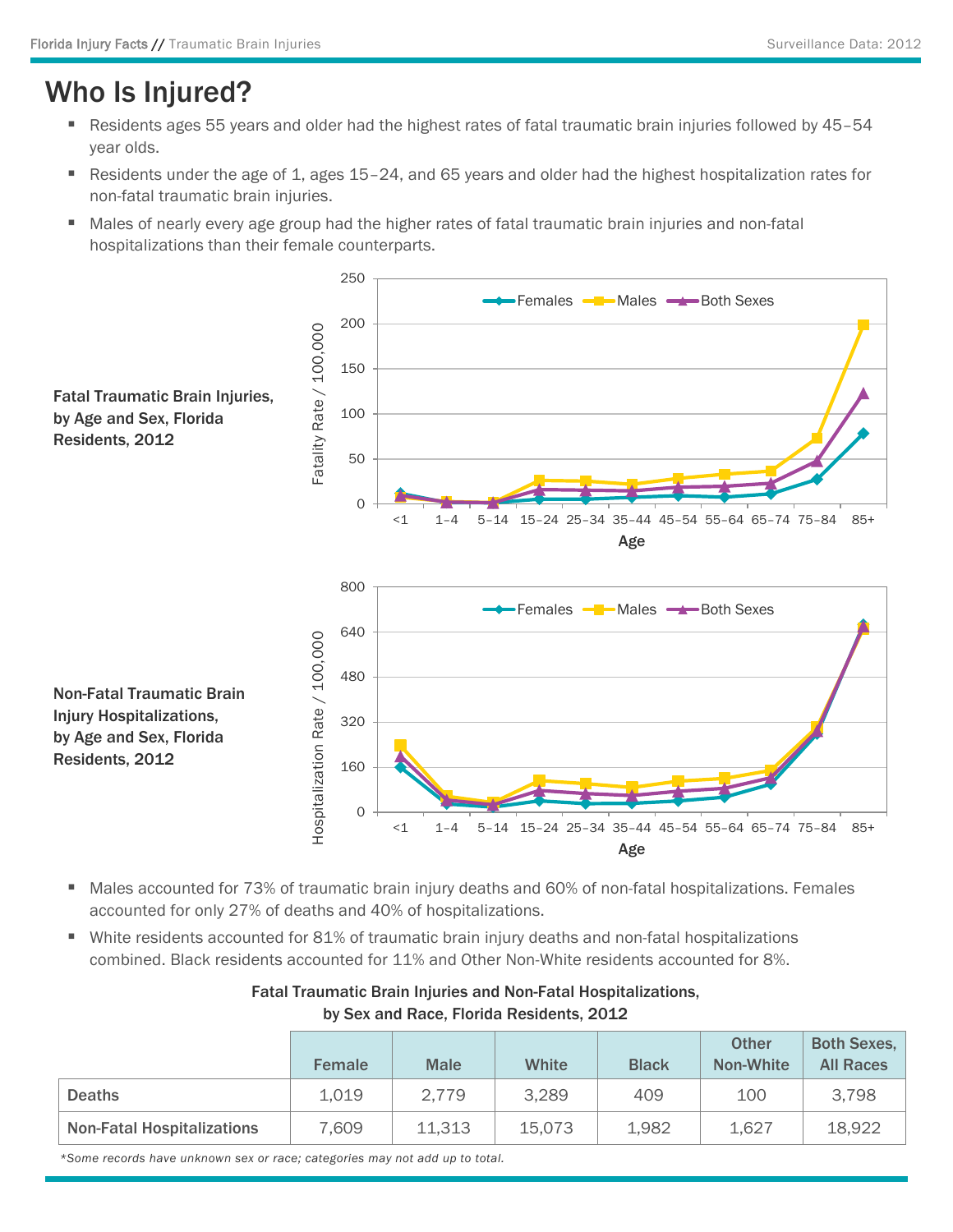### Who Is Injured?

- Residents ages 55 years and older had the highest rates of fatal traumatic brain injuries followed by 45-54 year olds.
- Residents under the age of 1, ages 15–24, and 65 years and older had the highest hospitalization rates for non-fatal traumatic brain injuries.
- Males of nearly every age group had the higher rates of fatal traumatic brain injuries and non-fatal hospitalizations than their female counterparts.



- Males accounted for 73% of traumatic brain injury deaths and 60% of non-fatal hospitalizations. Females accounted for only 27% of deaths and 40% of hospitalizations.
- White residents accounted for 81% of traumatic brain injury deaths and non-fatal hospitalizations combined. Black residents accounted for 11% and Other Non-White residents accounted for 8%.

|                                   | <b>Female</b> | <b>Male</b> | White  | <b>Black</b> | <b>Other</b><br>Non-White | <b>Both Sexes,</b><br><b>All Races</b> |
|-----------------------------------|---------------|-------------|--------|--------------|---------------------------|----------------------------------------|
| <b>Deaths</b>                     | 1,019         | 2,779       | 3,289  | 409          | 100                       | 3,798                                  |
| <b>Non-Fatal Hospitalizations</b> | 7,609         | 11,313      | 15,073 | 1,982        | 1,627                     | 18,922                                 |

#### Fatal Traumatic Brain Injuries and Non-Fatal Hospitalizations, by Sex and Race, Florida Residents, 2012

*\*Some records have unknown sex or race; categories may not add up to total.*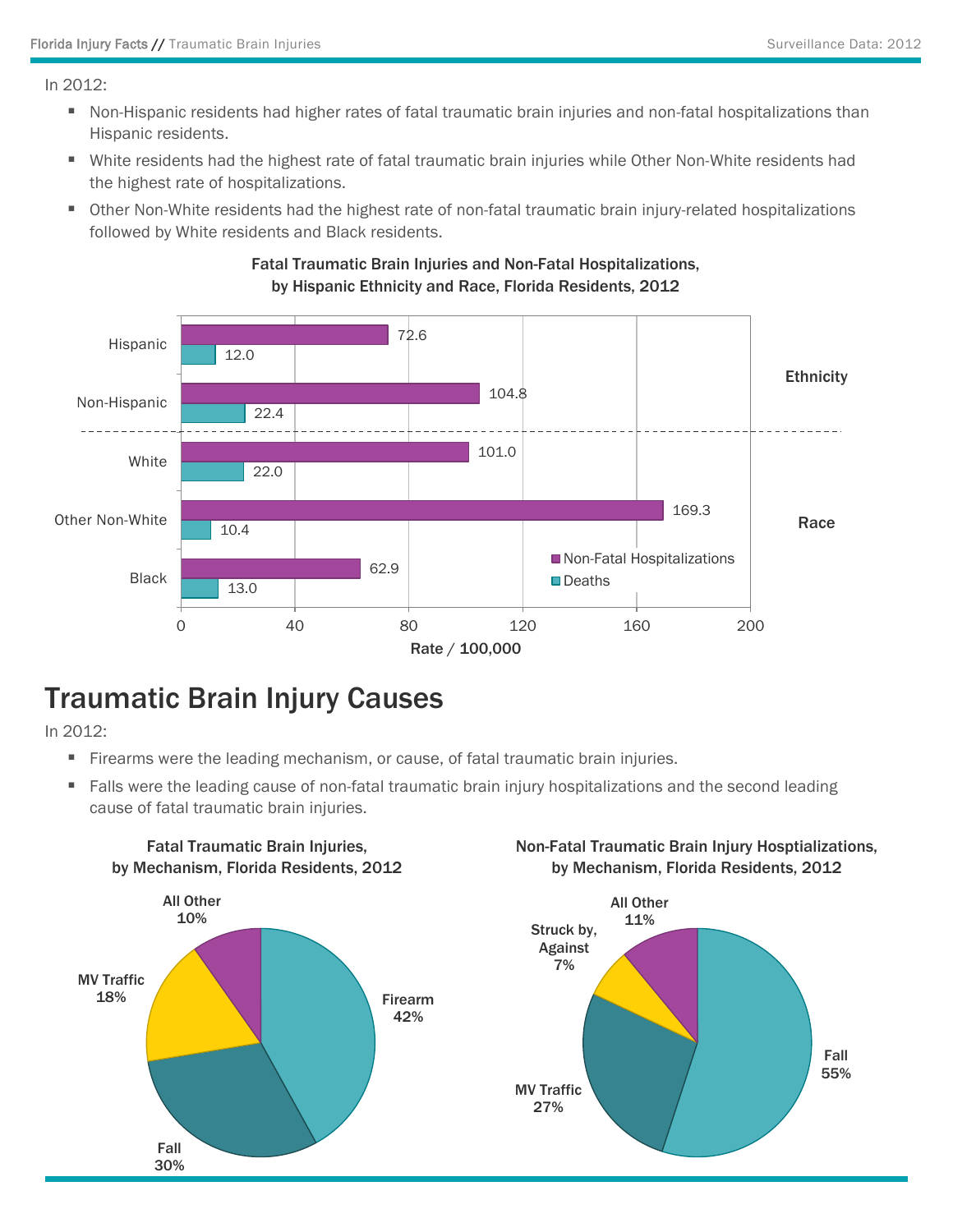In 2012:

- Non-Hispanic residents had higher rates of fatal traumatic brain injuries and non-fatal hospitalizations than Hispanic residents.
- White residents had the highest rate of fatal traumatic brain injuries while Other Non-White residents had the highest rate of hospitalizations.
- Other Non-White residents had the highest rate of non-fatal traumatic brain injury-related hospitalizations followed by White residents and Black residents.



#### Fatal Traumatic Brain Injuries and Non-Fatal Hospitalizations, by Hispanic Ethnicity and Race, Florida Residents, 2012

### Traumatic Brain Injury Causes

In 2012:

- Firearms were the leading mechanism, or cause, of fatal traumatic brain injuries.
- **Falls were the leading cause of non-fatal traumatic brain injury hospitalizations and the second leading** cause of fatal traumatic brain injuries.



#### Non-Fatal Traumatic Brain Injury Hosptializations, by Mechanism, Florida Residents, 2012

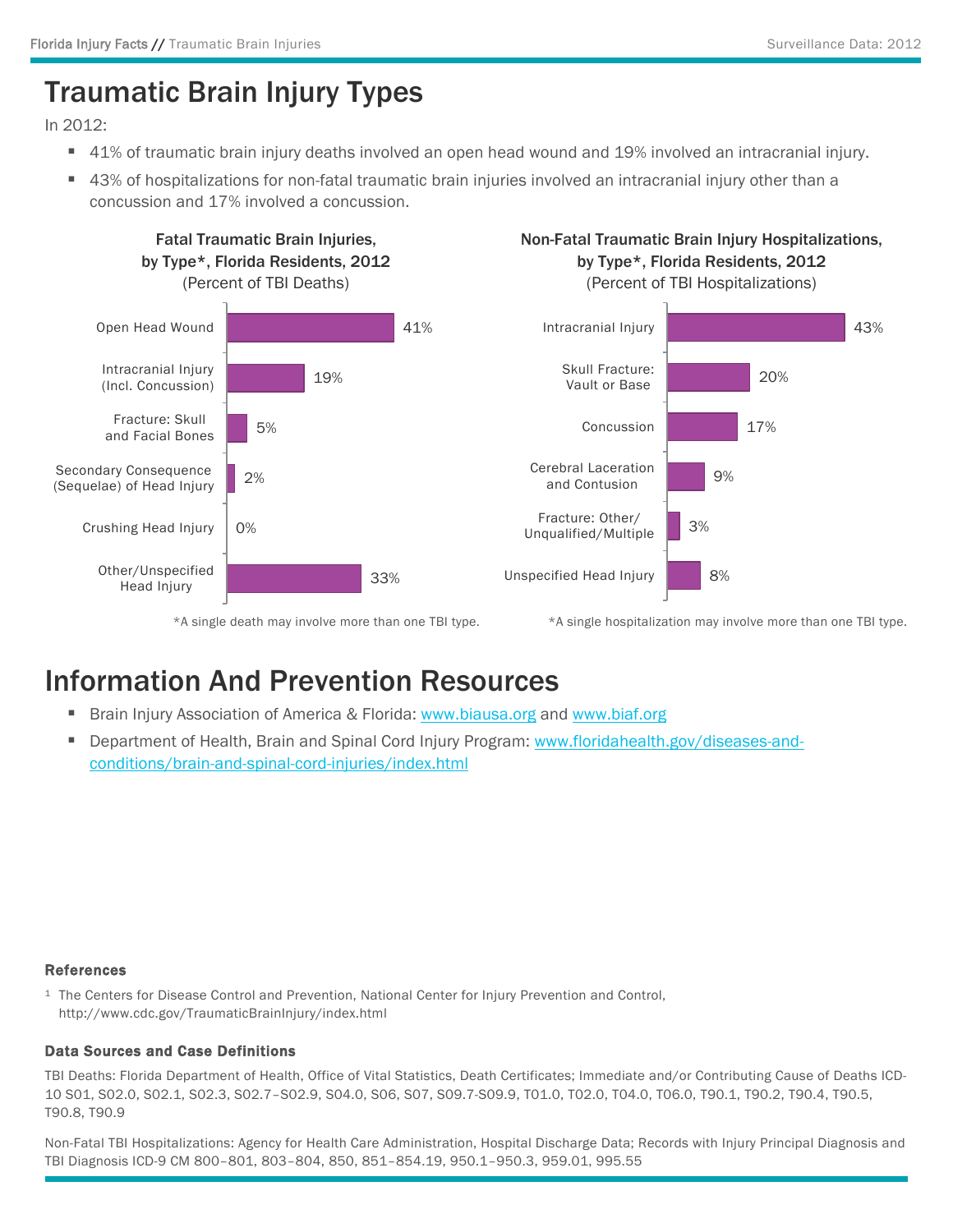# Traumatic Brain Injury Types

In 2012:

- 41% of traumatic brain injury deaths involved an open head wound and 19% involved an intracranial injury.
- 43% of hospitalizations for non-fatal traumatic brain injuries involved an intracranial injury other than a concussion and 17% involved a concussion.



\*A single death may involve more than one TBI type.

\*A single hospitalization may involve more than one TBI type.

### Information And Prevention Resources

- **Brain Injury Association of America & Florida: [www.biausa.org](http://www.biausa.org/) and [www.biaf.org](http://www.biaf.org/)**
- Department of Health, Brain and Spinal Cord Injury Program: [www.floridahealth.gov/diseases-and](http://www.floridahealth.gov/diseases-and-conditions/brain-and-spinal-cord-injuries/index.html)conditions/brain-and-spinal-cord-injuries/index.html

#### References

<sup>1</sup> The Centers for Disease Control and Prevention, National Center for Injury Prevention and Control, http://www.cdc.gov/TraumaticBrainInjury/index.html

#### Data Sources and Case Definitions

TBI Deaths: Florida Department of Health, Office of Vital Statistics, Death Certificates; Immediate and/or Contributing Cause of Deaths ICD-10 S01, S02.0, S02.1, S02.3, S02.7–S02.9, S04.0, S06, S07, S09.7-S09.9, T01.0, T02.0, T04.0, T06.0, T90.1, T90.2, T90.4, T90.5, T90.8, T90.9

Non-Fatal TBI Hospitalizations: Agency for Health Care Administration, Hospital Discharge Data; Records with Injury Principal Diagnosis and TBI Diagnosis ICD-9 CM 800–801, 803–804, 850, 851–854.19, 950.1–950.3, 959.01, 995.55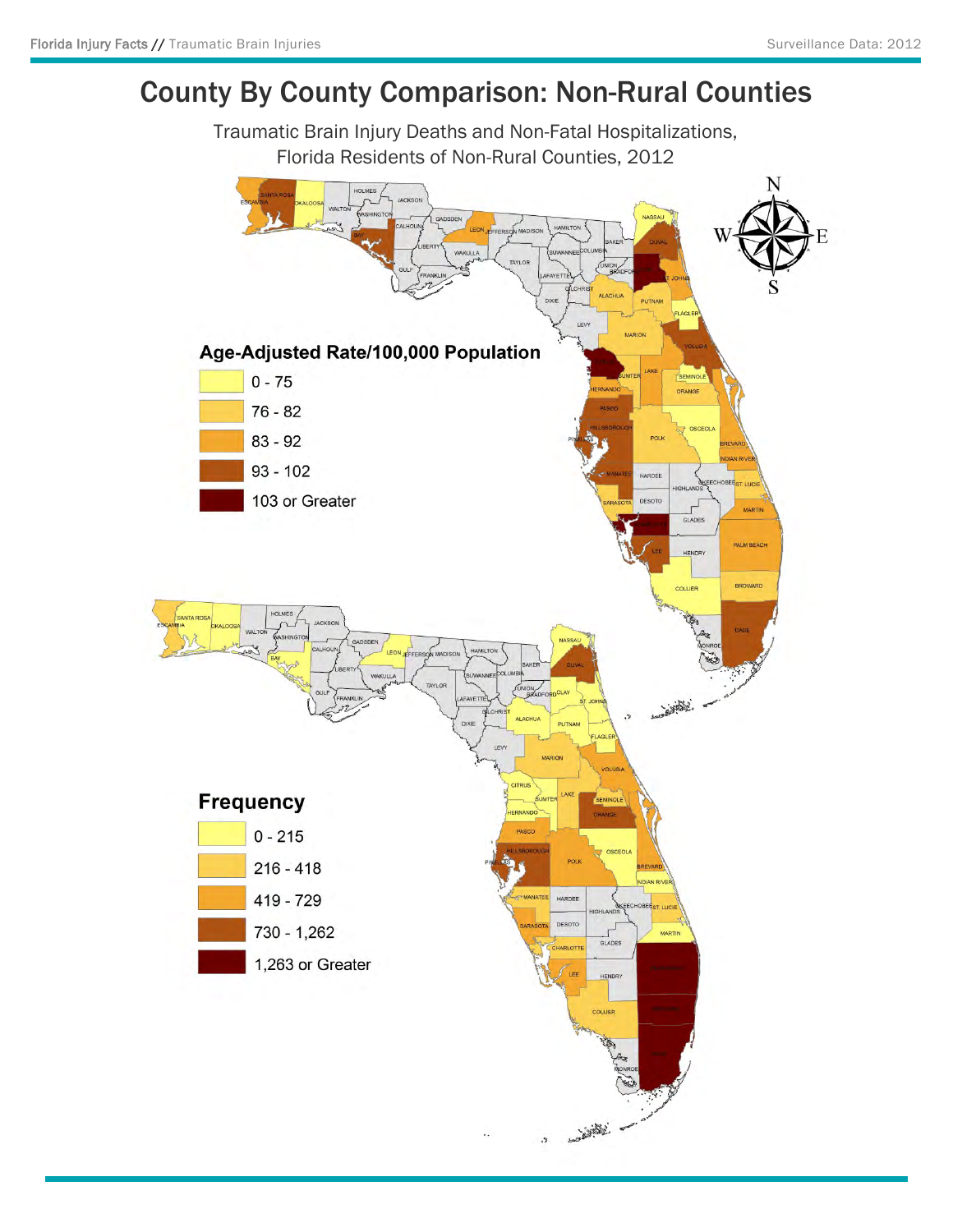### County By County Comparison: Non-Rural Counties

Traumatic Brain Injury Deaths and Non-Fatal Hospitalizations, Florida Residents of Non-Rural Counties, 2012